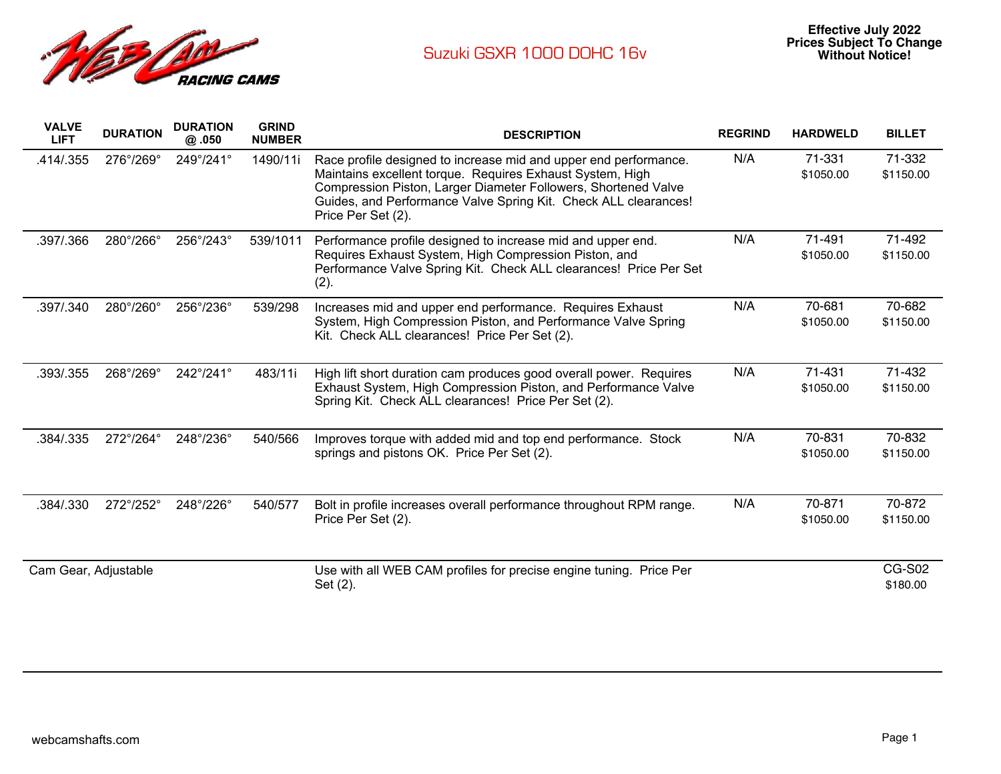

| <b>VALVE</b><br><b>LIFT</b> | <b>DURATION</b> | <b>DURATION</b><br>@.050 | <b>GRIND</b><br><b>NUMBER</b> | <b>DESCRIPTION</b>                                                                                                                                                                                                                                                                       | <b>REGRIND</b> | <b>HARDWELD</b>     | <b>BILLET</b>             |
|-----------------------------|-----------------|--------------------------|-------------------------------|------------------------------------------------------------------------------------------------------------------------------------------------------------------------------------------------------------------------------------------------------------------------------------------|----------------|---------------------|---------------------------|
| .414/.355                   | 276°/269°       | 249°/241°                | 1490/11i                      | Race profile designed to increase mid and upper end performance.<br>Maintains excellent torque. Requires Exhaust System, High<br>Compression Piston, Larger Diameter Followers, Shortened Valve<br>Guides, and Performance Valve Spring Kit. Check ALL clearances!<br>Price Per Set (2). | N/A            | 71-331<br>\$1050.00 | 71-332<br>\$1150.00       |
| .397/.366                   | 280°/266°       | 256°/243°                | 539/1011                      | Performance profile designed to increase mid and upper end.<br>Requires Exhaust System, High Compression Piston, and<br>Performance Valve Spring Kit. Check ALL clearances! Price Per Set<br>(2).                                                                                        | N/A            | 71-491<br>\$1050.00 | 71-492<br>\$1150.00       |
| .397/.340                   | 280°/260°       | 256°/236°                | 539/298                       | Increases mid and upper end performance. Requires Exhaust<br>System, High Compression Piston, and Performance Valve Spring<br>Kit. Check ALL clearances! Price Per Set (2).                                                                                                              | N/A            | 70-681<br>\$1050.00 | 70-682<br>\$1150.00       |
| .393/.355                   | 268°/269°       | 242°/241°                | 483/11i                       | High lift short duration cam produces good overall power. Requires<br>Exhaust System, High Compression Piston, and Performance Valve<br>Spring Kit. Check ALL clearances! Price Per Set (2).                                                                                             | N/A            | 71-431<br>\$1050.00 | 71-432<br>\$1150.00       |
| .384/.335                   | 272°/264°       | 248°/236°                | 540/566                       | Improves torque with added mid and top end performance. Stock<br>springs and pistons OK. Price Per Set (2).                                                                                                                                                                              | N/A            | 70-831<br>\$1050.00 | 70-832<br>\$1150.00       |
| .384/.330                   | 272°/252°       | 248°/226°                | 540/577                       | Bolt in profile increases overall performance throughout RPM range.<br>Price Per Set (2).                                                                                                                                                                                                | N/A            | 70-871<br>\$1050.00 | 70-872<br>\$1150.00       |
| Cam Gear, Adjustable        |                 |                          |                               | Use with all WEB CAM profiles for precise engine tuning. Price Per<br>Set (2).                                                                                                                                                                                                           |                |                     | <b>CG-S02</b><br>\$180.00 |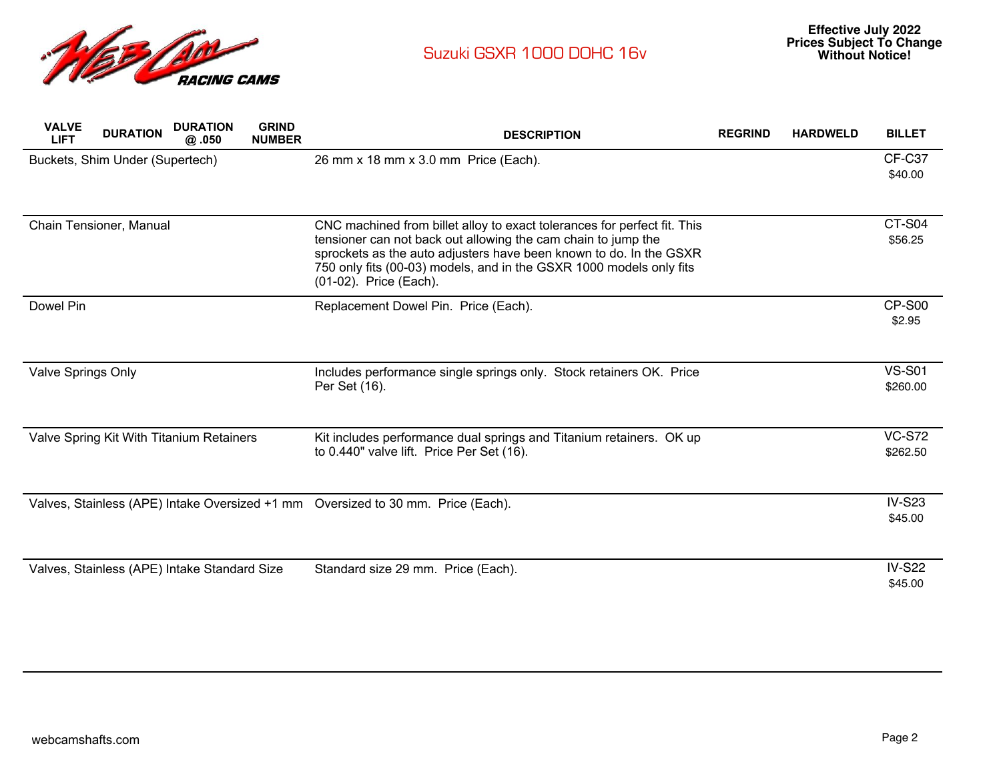

| <b>VALVE</b><br><b>LIFT</b>     | <b>DURATION</b>         | <b>DURATION</b><br>@.050                     | <b>GRIND</b><br><b>NUMBER</b> | <b>DESCRIPTION</b>                                                                                                                                                                                         | <b>REGRIND</b> | <b>HARDWELD</b> | <b>BILLET</b>             |
|---------------------------------|-------------------------|----------------------------------------------|-------------------------------|------------------------------------------------------------------------------------------------------------------------------------------------------------------------------------------------------------|----------------|-----------------|---------------------------|
| Buckets, Shim Under (Supertech) |                         |                                              |                               | 26 mm x 18 mm x 3.0 mm Price (Each).                                                                                                                                                                       |                |                 | <b>CF-C37</b><br>\$40.00  |
|                                 |                         |                                              |                               |                                                                                                                                                                                                            |                |                 |                           |
|                                 | Chain Tensioner, Manual |                                              |                               | CNC machined from billet alloy to exact tolerances for perfect fit. This                                                                                                                                   |                |                 | CT-S04                    |
|                                 |                         |                                              |                               | tensioner can not back out allowing the cam chain to jump the<br>sprockets as the auto adjusters have been known to do. In the GSXR<br>750 only fits (00-03) models, and in the GSXR 1000 models only fits |                |                 | \$56.25                   |
|                                 |                         |                                              |                               | (01-02). Price (Each).                                                                                                                                                                                     |                |                 |                           |
| Dowel Pin                       |                         |                                              |                               | Replacement Dowel Pin. Price (Each).                                                                                                                                                                       |                |                 | CP-S00                    |
|                                 |                         |                                              |                               |                                                                                                                                                                                                            |                |                 | \$2.95                    |
|                                 |                         |                                              |                               |                                                                                                                                                                                                            |                |                 |                           |
| <b>Valve Springs Only</b>       |                         |                                              |                               | Includes performance single springs only. Stock retainers OK. Price<br>Per Set (16).                                                                                                                       |                |                 | <b>VS-S01</b><br>\$260.00 |
|                                 |                         |                                              |                               |                                                                                                                                                                                                            |                |                 |                           |
|                                 |                         | Valve Spring Kit With Titanium Retainers     |                               | Kit includes performance dual springs and Titanium retainers. OK up                                                                                                                                        |                |                 | <b>VC-S72</b>             |
|                                 |                         |                                              |                               | to 0.440" valve lift. Price Per Set (16).                                                                                                                                                                  |                |                 | \$262.50                  |
|                                 |                         |                                              |                               |                                                                                                                                                                                                            |                |                 |                           |
|                                 |                         |                                              |                               | Valves, Stainless (APE) Intake Oversized +1 mm Oversized to 30 mm. Price (Each).                                                                                                                           |                |                 | <b>IV-S23</b>             |
|                                 |                         |                                              |                               |                                                                                                                                                                                                            |                |                 | \$45.00                   |
|                                 |                         |                                              |                               |                                                                                                                                                                                                            |                |                 |                           |
|                                 |                         | Valves, Stainless (APE) Intake Standard Size |                               | Standard size 29 mm. Price (Each).                                                                                                                                                                         |                |                 | <b>IV-S22</b>             |
|                                 |                         |                                              |                               |                                                                                                                                                                                                            |                |                 | \$45.00                   |